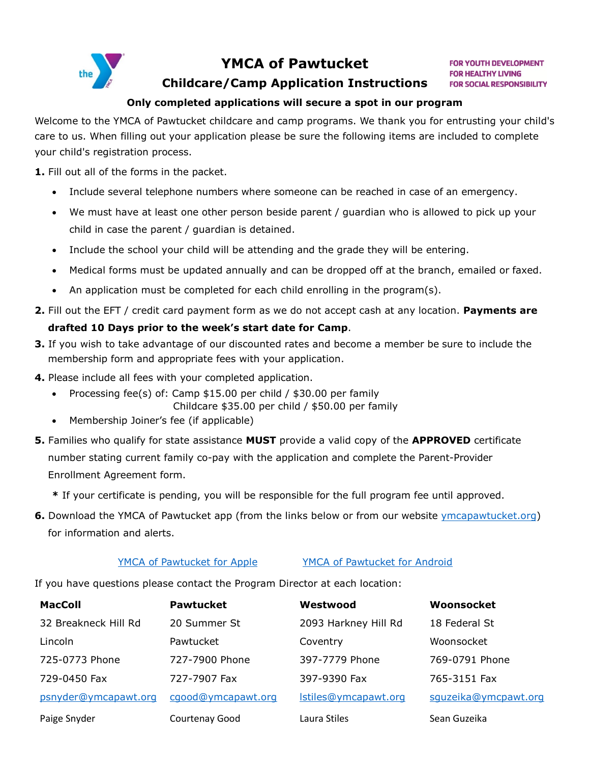

# **YMCA of Pawtucket**

**FOR YOUTH DEVELOPMENT FOR HEALTHY LIVING FOR SOCIAL RESPONSIBILITY** 

# **Childcare/Camp Application Instructions**

## **Only completed applications will secure a spot in our program**

Welcome to the YMCA of Pawtucket childcare and camp programs. We thank you for entrusting your child's care to us. When filling out your application please be sure the following items are included to complete your child's registration process.

**1.** Fill out all of the forms in the packet.

- Include several telephone numbers where someone can be reached in case of an emergency.
- We must have at least one other person beside parent / guardian who is allowed to pick up your child in case the parent / guardian is detained.
- Include the school your child will be attending and the grade they will be entering.
- Medical forms must be updated annually and can be dropped off at the branch, emailed or faxed.
- An application must be completed for each child enrolling in the program(s).
- **2.** Fill out the EFT / credit card payment form as we do not accept cash at any location. **Payments are**

# **drafted 10 Days prior to the week's start date for Camp**.

- **3.** If you wish to take advantage of our discounted rates and become a member be sure to include the membership form and appropriate fees with your application.
- **4.** Please include all fees with your completed application.
	- Processing fee(s) of: Camp \$15.00 per child / \$30.00 per family
		- Childcare \$35.00 per child / \$50.00 per family
	- Membership Joiner's fee (if applicable)
- **5.** Families who qualify for state assistance **MUST** provide a valid copy of the **APPROVED** certificate number stating current family co-pay with the application and complete the Parent-Provider Enrollment Agreement form.
	- **\*** If your certificate is pending, you will be responsible for the full program fee until approved.
- **6.** Download the YMCA of Pawtucket app (from the links below or from our website [ymcapawtucket.org\)](https://ymcapawtucket.org/) for information and alerts.

# [YMCA of Pawtucket for Apple](https://apps.apple.com/us/app/daxko/id1449762382) [YMCA of Pawtucket for Android](https://play.google.com/store/apps/details?id=com.daxko.mobile)

If you have questions please contact the Program Director at each location:

| <b>MacColl</b>       | <b>Pawtucket</b>   | Westwood             | Woonsocket           |
|----------------------|--------------------|----------------------|----------------------|
| 32 Breakneck Hill Rd | 20 Summer St       | 2093 Harkney Hill Rd | 18 Federal St        |
| Lincoln              | Pawtucket          | Coventry             | Woonsocket           |
| 725-0773 Phone       | 727-7900 Phone     | 397-7779 Phone       | 769-0791 Phone       |
| 729-0450 Fax         | 727-7907 Fax       | 397-9390 Fax         | 765-3151 Fax         |
| psnyder@ymcapawt.org | cgood@ymcapawt.org | Istiles@ymcapawt.org | squzeika@ymcpawt.org |
| Paige Snyder         | Courtenay Good     | Laura Stiles         | Sean Guzeika         |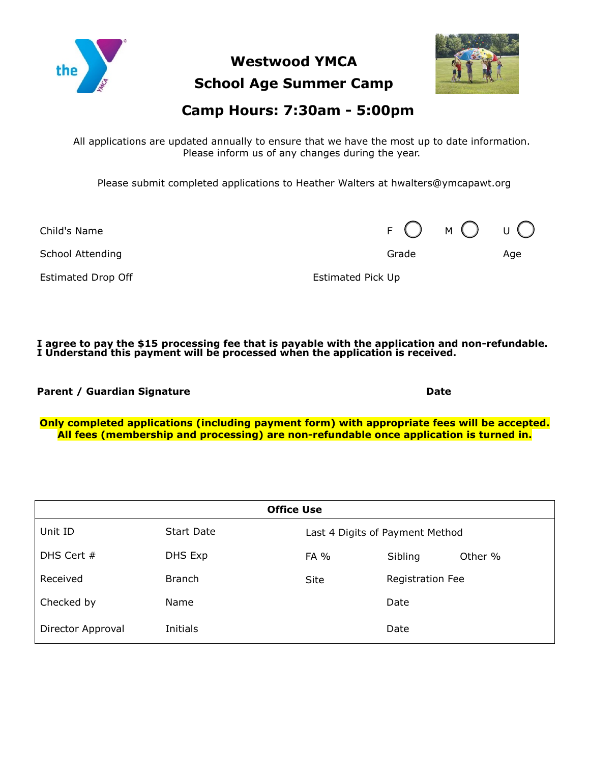

**Westwood YMCA School Age Summer Camp**



# **Camp Hours: 7:30am - 5:00pm**

All applications are updated annually to ensure that we have the most up to date information. Please inform us of any changes during the year.

Please submit completed applications to Heather Walters at hwalters@ymcapawt.org

Child's Name  $F \bigcap M \bigcap$ 

School Attending Age and School Attending Age and School Attending Age and Age and Age and Age and Age and Age

Estimated Drop Off **Estimated Pick Up** 

**I agree to pay the \$15 processing fee that is payable with the application and non-refundable. I Understand this payment will be processed when the application is received.**

**Parent / Guardian Signature Date** 

**Only completed applications (including payment form) with appropriate fees will be accepted. All fees (membership and processing) are non-refundable once application is turned in.**

| <b>Office Use</b> |                   |                                 |                  |         |  |  |
|-------------------|-------------------|---------------------------------|------------------|---------|--|--|
| Unit ID           | <b>Start Date</b> | Last 4 Digits of Payment Method |                  |         |  |  |
| DHS Cert $#$      | DHS Exp           | FA %                            | Sibling          | Other % |  |  |
| Received          | <b>Branch</b>     | <b>Site</b>                     | Registration Fee |         |  |  |
| Checked by        | Name              |                                 | Date             |         |  |  |
| Director Approval | Initials          |                                 | Date             |         |  |  |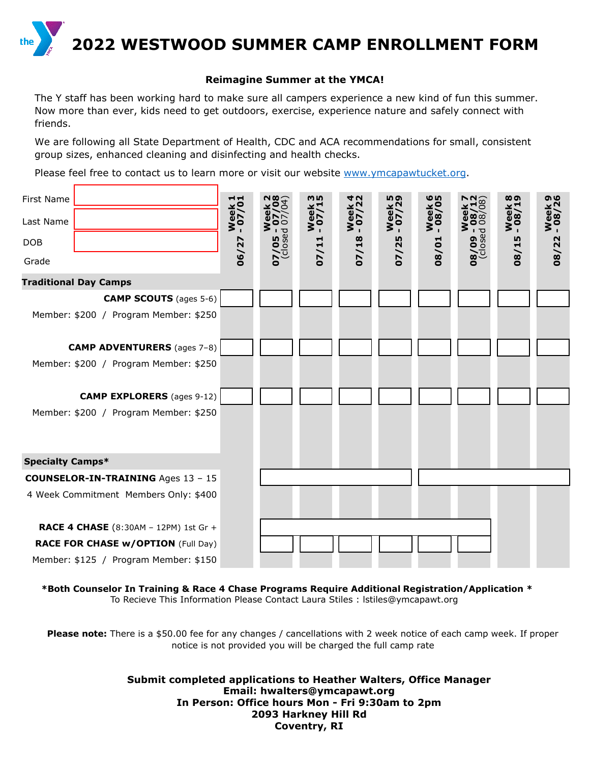

### **Reimagine Summer at the YMCA!**

The Y staff has been working hard to make sure all campers experience a new kind of fun this summer. Now more than ever, kids need to get outdoors, exercise, experience nature and safely connect with friends.

We are following all State Department of Health, CDC and ACA recommendations for small, consistent group sizes, enhanced cleaning and disinfecting and health checks.

Please feel free to contact us to learn more or visit our website [www.ymcapawtucket.org.](http://www.ymcapawtucket.org/)

| First Name                                | ᆏ               | <b>289</b>           | m <sub>In</sub>       | <b>4 U</b>            | <b>სა</b>        | ဖြ    | ශි                    | <b>∞ ை</b>            | ෧ഄ               |
|-------------------------------------------|-----------------|----------------------|-----------------------|-----------------------|------------------|-------|-----------------------|-----------------------|------------------|
| Last Name                                 | Week<br>- 07/0: | $\bf{e}$<br>55<br>99 | <b>Week</b><br>- 07/1 | <b>Week</b><br>- 07/2 | Week!<br>- 07/2! | Week  | Weel<br>$80^{\circ}$  | <b>Week</b><br>- 08/1 | Week !<br>- 08/2 |
| <b>DOB</b>                                |                 | $07/05 - 0$          | 07/11                 | 07/18                 | 07/25            |       | $\frac{1}{2} - 60/80$ |                       | 08/22            |
| Grade                                     | 06/27           |                      |                       |                       |                  | 08/01 |                       | 08/15                 |                  |
| <b>Traditional Day Camps</b>              |                 |                      |                       |                       |                  |       |                       |                       |                  |
| <b>CAMP SCOUTS</b> (ages 5-6)             |                 |                      |                       |                       |                  |       |                       |                       |                  |
| Member: \$200 / Program Member: \$250     |                 |                      |                       |                       |                  |       |                       |                       |                  |
| <b>CAMP ADVENTURERS</b> (ages 7-8)        |                 |                      |                       |                       |                  |       |                       |                       |                  |
| Member: \$200 / Program Member: \$250     |                 |                      |                       |                       |                  |       |                       |                       |                  |
| <b>CAMP EXPLORERS</b> (ages 9-12)         |                 |                      |                       |                       |                  |       |                       |                       |                  |
| Member: \$200 / Program Member: \$250     |                 |                      |                       |                       |                  |       |                       |                       |                  |
| <b>Specialty Camps*</b>                   |                 |                      |                       |                       |                  |       |                       |                       |                  |
| <b>COUNSELOR-IN-TRAINING Ages 13 - 15</b> |                 |                      |                       |                       |                  |       |                       |                       |                  |
| 4 Week Commitment Members Only: \$400     |                 |                      |                       |                       |                  |       |                       |                       |                  |
| RACE 4 CHASE (8:30AM - 12PM) 1st Gr +     |                 |                      |                       |                       |                  |       |                       |                       |                  |
| <b>RACE FOR CHASE W/OPTION (Full Day)</b> |                 |                      |                       |                       |                  |       |                       |                       |                  |
| Member: \$125 / Program Member: \$150     |                 |                      |                       |                       |                  |       |                       |                       |                  |

\***\*Both Counselor In Training & Race 4 Chase Programs Require Additional Registration/Application \***  To Recieve This Information Please Contact Laura Stiles : lstiles@ymcapawt.org

**Please note:** There is a \$50.00 fee for any changes / cancellations with 2 week notice of each camp week. If proper notice is not provided you will be charged the full camp rate

> **Submit completed applications to Heather Walters, Office Manager Email: hwalters@ymcapawt.org In Person: Office hours Mon - Fri 9:30am to 2pm 2093 Harkney Hill Rd Coventry, RI**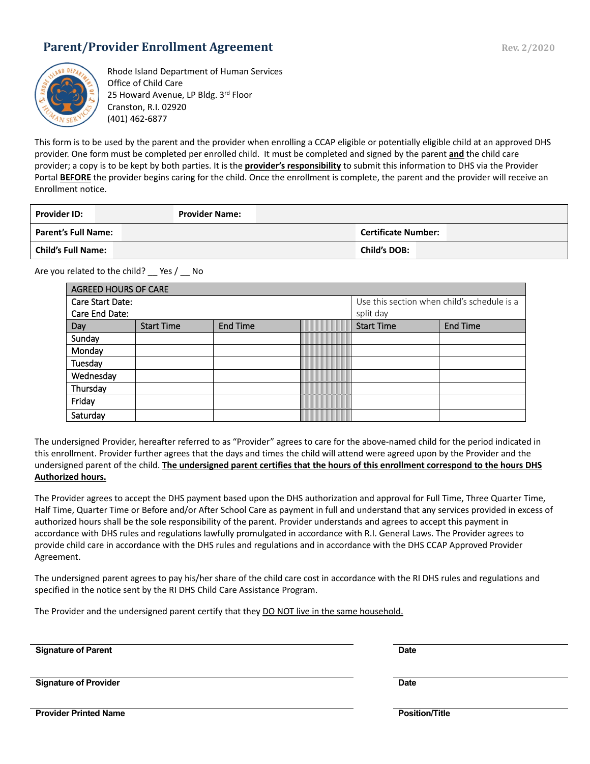# **Parent/Provider Enrollment Agreement Rev. 2/2020** Rev. 2/2020



Rhode Island Department of Human Services Office of Child Care 25 Howard Avenue, LP Bldg. 3rd Floor Cranston, R.I. 02920 (401) 462-6877

This form is to be used by the parent and the provider when enrolling a CCAP eligible or potentially eligible child at an approved DHS provider. One form must be completed per enrolled child. It must be completed and signed by the parent **and** the child care provider; a copy is to be kept by both parties. It is the **provider's responsibility** to submit this information to DHS via the Provider Portal BEFORE the provider begins caring for the child. Once the enrollment is complete, the parent and the provider will receive an Enrollment notice.

| <b>Provider ID:</b>        | <b>Provider Name:</b> |                            |
|----------------------------|-----------------------|----------------------------|
| <b>Parent's Full Name:</b> |                       | <b>Certificate Number:</b> |
| <b>Child's Full Name:</b>  |                       | <b>Child's DOB:</b>        |

Are you related to the child? Pes / No

| AGREED HOURS OF CARE    |                   |                 |  |                                             |                 |  |
|-------------------------|-------------------|-----------------|--|---------------------------------------------|-----------------|--|
| <b>Care Start Date:</b> |                   |                 |  | Use this section when child's schedule is a |                 |  |
| Care End Date:          |                   |                 |  | split day                                   |                 |  |
| Day                     | <b>Start Time</b> | <b>End Time</b> |  | <b>Start Time</b>                           | <b>End Time</b> |  |
| Sunday                  |                   |                 |  |                                             |                 |  |
| Monday                  |                   |                 |  |                                             |                 |  |
| Tuesday                 |                   |                 |  |                                             |                 |  |
| Wednesday               |                   |                 |  |                                             |                 |  |
| Thursday                |                   |                 |  |                                             |                 |  |
| Friday                  |                   |                 |  |                                             |                 |  |
| Saturday                |                   |                 |  |                                             |                 |  |

The undersigned Provider, hereafter referred to as "Provider" agrees to care for the above-named child for the period indicated in this enrollment. Provider further agrees that the days and times the child will attend were agreed upon by the Provider and the undersigned parent of the child. **The undersigned parent certifies that the hours of this enrollment correspond to the hours DHS Authorized hours.**

The Provider agrees to accept the DHS payment based upon the DHS authorization and approval for Full Time, Three Quarter Time, Half Time, Quarter Time or Before and/or After School Care as payment in full and understand that any services provided in excess of authorized hours shall be the sole responsibility of the parent. Provider understands and agrees to accept this payment in accordance with DHS rules and regulations lawfully promulgated in accordance with R.I. General Laws. The Provider agrees to provide child care in accordance with the DHS rules and regulations and in accordance with the DHS CCAP Approved Provider Agreement.

The undersigned parent agrees to pay his/her share of the child care cost in accordance with the RI DHS rules and regulations and specified in the notice sent by the RI DHS Child Care Assistance Program.

The Provider and the undersigned parent certify that they DO NOT live in the same household.

**Signature of Parent Date** 

**Signature of Provider Date** 

**Provider Printed Name Provider Printed Name Position/Title**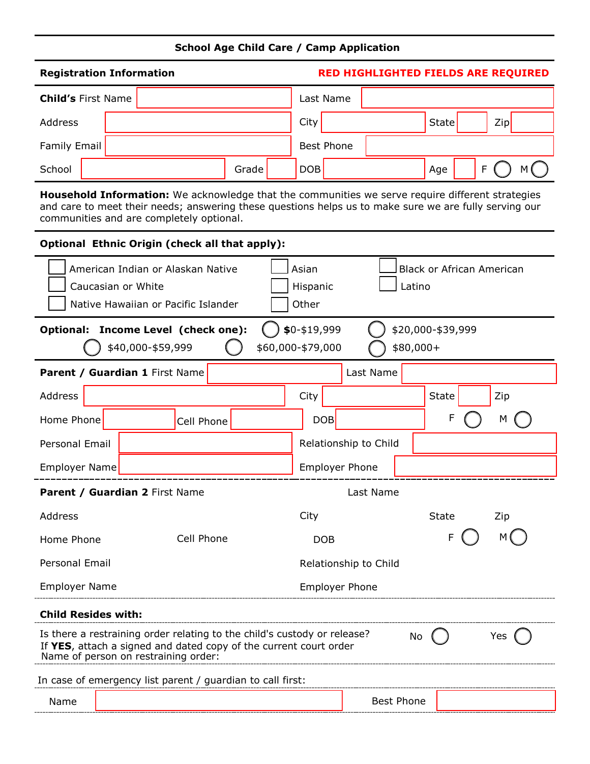# **School Age Child Care / Camp Application**

| <b>Registration Information</b> | RED HIGHLIGHTED FIELDS ARE REQUIRED |                   |  |       |        |
|---------------------------------|-------------------------------------|-------------------|--|-------|--------|
| <b>Child's First Name</b>       |                                     | Last Name         |  |       |        |
| Address                         |                                     | City              |  | State | Zip    |
| <b>Family Email</b>             |                                     | <b>Best Phone</b> |  |       |        |
| School                          | Grade                               | <b>DOB</b>        |  | Age   | F<br>м |

**Household Information:** We acknowledge that the communities we serve require different strategies and care to meet their needs; answering these questions helps us to make sure we are fully serving our communities and are completely optional.

## **Optional Ethnic Origin (check all that apply):**

|                                                                                                                                                                                                    | American Indian or Alaskan Native<br>Caucasian or White<br>Native Hawaiian or Pacific Islander                                            |            |  | Asian<br>Hispanic<br>Other |                       | Latino |              | <b>Black or African American</b> |
|----------------------------------------------------------------------------------------------------------------------------------------------------------------------------------------------------|-------------------------------------------------------------------------------------------------------------------------------------------|------------|--|----------------------------|-----------------------|--------|--------------|----------------------------------|
|                                                                                                                                                                                                    | \$0-\$19,999<br>\$20,000-\$39,999<br>Income Level (check one):<br><b>Optional:</b><br>\$60,000-\$79,000<br>\$40,000-\$59,999<br>\$80,000+ |            |  |                            |                       |        |              |                                  |
|                                                                                                                                                                                                    | Last Name<br>Parent / Guardian 1 First Name                                                                                               |            |  |                            |                       |        |              |                                  |
| <b>Address</b>                                                                                                                                                                                     |                                                                                                                                           |            |  | City                       |                       |        | <b>State</b> | Zip                              |
| Home Phone                                                                                                                                                                                         |                                                                                                                                           | Cell Phone |  | <b>DOB</b>                 |                       |        | F            | М                                |
| <b>Personal Email</b>                                                                                                                                                                              |                                                                                                                                           |            |  |                            | Relationship to Child |        |              |                                  |
| <b>Employer Name</b>                                                                                                                                                                               |                                                                                                                                           |            |  | <b>Employer Phone</b>      |                       |        |              |                                  |
|                                                                                                                                                                                                    | Parent / Guardian 2 First Name                                                                                                            |            |  |                            | Last Name             |        |              |                                  |
| <b>Address</b>                                                                                                                                                                                     |                                                                                                                                           |            |  | City                       |                       |        | State        | Zip                              |
| Home Phone                                                                                                                                                                                         |                                                                                                                                           | Cell Phone |  | <b>DOB</b>                 |                       |        | F            |                                  |
| <b>Personal Email</b>                                                                                                                                                                              |                                                                                                                                           |            |  |                            | Relationship to Child |        |              |                                  |
| <b>Employer Name</b>                                                                                                                                                                               |                                                                                                                                           |            |  | <b>Employer Phone</b>      |                       |        |              |                                  |
| <b>Child Resides with:</b>                                                                                                                                                                         |                                                                                                                                           |            |  |                            |                       |        |              |                                  |
| Is there a restraining order relating to the child's custody or release?<br>Yes<br>No<br>If YES, attach a signed and dated copy of the current court order<br>Name of person on restraining order: |                                                                                                                                           |            |  |                            |                       |        |              |                                  |
|                                                                                                                                                                                                    | In case of emergency list parent / guardian to call first:                                                                                |            |  |                            |                       |        |              |                                  |
| Name                                                                                                                                                                                               |                                                                                                                                           |            |  |                            | <b>Best Phone</b>     |        |              |                                  |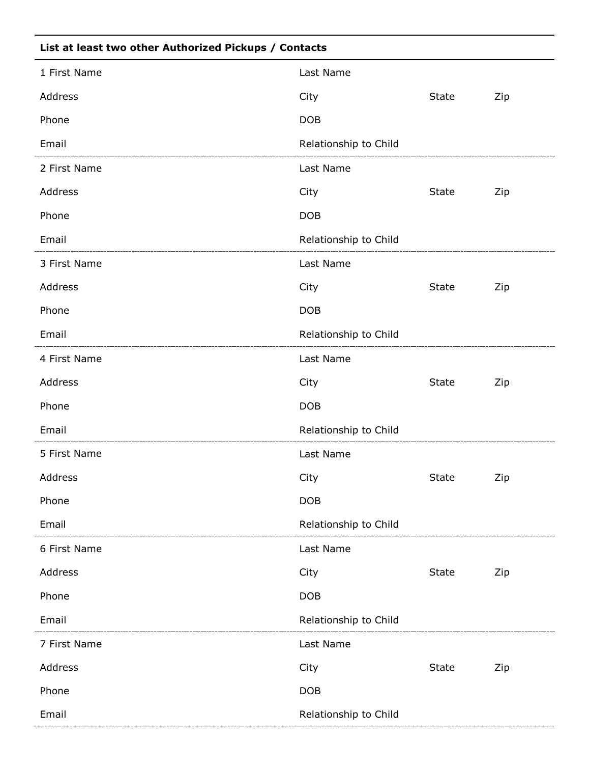| List at least two other Authorized Pickups / Contacts |                       |              |     |  |  |
|-------------------------------------------------------|-----------------------|--------------|-----|--|--|
| 1 First Name                                          | Last Name             |              |     |  |  |
| Address                                               | City                  | State        | Zip |  |  |
| Phone                                                 | <b>DOB</b>            |              |     |  |  |
| Email                                                 | Relationship to Child |              |     |  |  |
| 2 First Name                                          | Last Name             |              |     |  |  |
| Address                                               | City                  | State        | Zip |  |  |
| Phone                                                 | <b>DOB</b>            |              |     |  |  |
| Email                                                 | Relationship to Child |              |     |  |  |
| 3 First Name                                          | Last Name             |              |     |  |  |
| Address                                               | City                  | State        | Zip |  |  |
| Phone                                                 | <b>DOB</b>            |              |     |  |  |
| Email                                                 | Relationship to Child |              |     |  |  |
| 4 First Name                                          | Last Name             |              |     |  |  |
| Address                                               | City                  | <b>State</b> | Zip |  |  |
| Phone                                                 | <b>DOB</b>            |              |     |  |  |
| Email                                                 | Relationship to Child |              |     |  |  |
| 5 First Name                                          | Last Name             |              |     |  |  |
| Address                                               | City                  | <b>State</b> | Zip |  |  |
| Phone                                                 | <b>DOB</b>            |              |     |  |  |
| Email                                                 | Relationship to Child |              |     |  |  |
| 6 First Name                                          | Last Name             |              |     |  |  |
| Address                                               | City                  | <b>State</b> | Zip |  |  |
| Phone                                                 | <b>DOB</b>            |              |     |  |  |
| Email                                                 | Relationship to Child |              |     |  |  |
| 7 First Name                                          | Last Name             |              |     |  |  |
| Address                                               | City                  | <b>State</b> | Zip |  |  |
| Phone                                                 | <b>DOB</b>            |              |     |  |  |
| Email                                                 | Relationship to Child |              |     |  |  |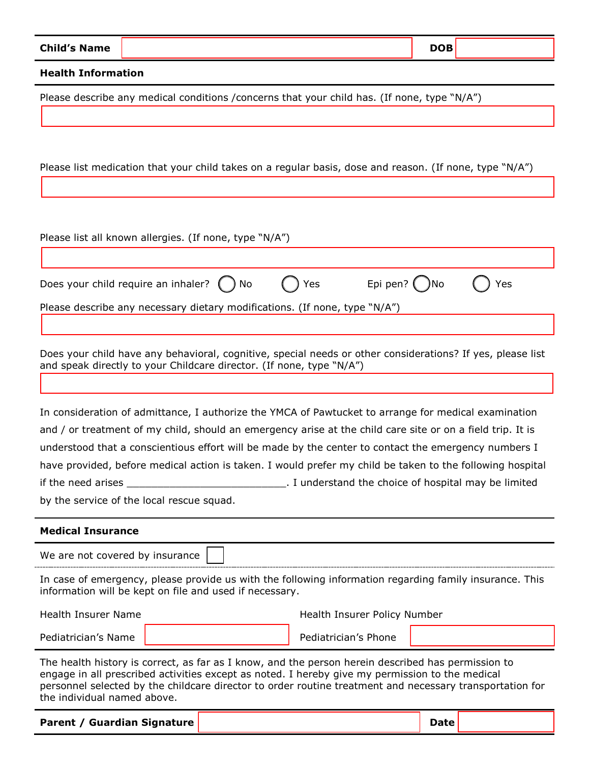| <b>Child's Name</b>                                                                                                                                                |  |                                                    | <b>DOB</b> |     |  |  |  |
|--------------------------------------------------------------------------------------------------------------------------------------------------------------------|--|----------------------------------------------------|------------|-----|--|--|--|
| <b>Health Information</b>                                                                                                                                          |  |                                                    |            |     |  |  |  |
| Please describe any medical conditions /concerns that your child has. (If none, type "N/A")                                                                        |  |                                                    |            |     |  |  |  |
|                                                                                                                                                                    |  |                                                    |            |     |  |  |  |
|                                                                                                                                                                    |  |                                                    |            |     |  |  |  |
| Please list medication that your child takes on a regular basis, dose and reason. (If none, type "N/A")                                                            |  |                                                    |            |     |  |  |  |
|                                                                                                                                                                    |  |                                                    |            |     |  |  |  |
|                                                                                                                                                                    |  |                                                    |            |     |  |  |  |
|                                                                                                                                                                    |  |                                                    |            |     |  |  |  |
| Please list all known allergies. (If none, type "N/A")                                                                                                             |  |                                                    |            |     |  |  |  |
|                                                                                                                                                                    |  |                                                    |            |     |  |  |  |
| Does your child require an inhaler?<br>No                                                                                                                          |  | Epi pen? $($<br>Yes                                | )No        | Yes |  |  |  |
| Please describe any necessary dietary modifications. (If none, type "N/A")                                                                                         |  |                                                    |            |     |  |  |  |
|                                                                                                                                                                    |  |                                                    |            |     |  |  |  |
| Does your child have any behavioral, cognitive, special needs or other considerations? If yes, please list                                                         |  |                                                    |            |     |  |  |  |
| and speak directly to your Childcare director. (If none, type "N/A")                                                                                               |  |                                                    |            |     |  |  |  |
|                                                                                                                                                                    |  |                                                    |            |     |  |  |  |
| In consideration of admittance, I authorize the YMCA of Pawtucket to arrange for medical examination                                                               |  |                                                    |            |     |  |  |  |
| and / or treatment of my child, should an emergency arise at the child care site or on a field trip. It is                                                         |  |                                                    |            |     |  |  |  |
| understood that a conscientious effort will be made by the center to contact the emergency numbers I                                                               |  |                                                    |            |     |  |  |  |
| have provided, before medical action is taken. I would prefer my child be taken to the following hospital                                                          |  |                                                    |            |     |  |  |  |
| if the need arises<br>by the service of the local rescue squad.                                                                                                    |  | I understand the choice of hospital may be limited |            |     |  |  |  |
|                                                                                                                                                                    |  |                                                    |            |     |  |  |  |
| <b>Medical Insurance</b>                                                                                                                                           |  |                                                    |            |     |  |  |  |
| We are not covered by insurance                                                                                                                                    |  |                                                    |            |     |  |  |  |
| In case of emergency, please provide us with the following information regarding family insurance. This<br>information will be kept on file and used if necessary. |  |                                                    |            |     |  |  |  |
| <b>Health Insurer Name</b>                                                                                                                                         |  | Health Insurer Policy Number                       |            |     |  |  |  |
| Pediatrician's Name                                                                                                                                                |  | Pediatrician's Phone                               |            |     |  |  |  |

The health history is correct, as far as I know, and the person herein described has permission to engage in all prescribed activities except as noted. I hereby give my permission to the medical personnel selected by the childcare director to order routine treatment and necessary transportation for the individual named above.

**Parent** / Guardian Signature **Date Date Date Date Date**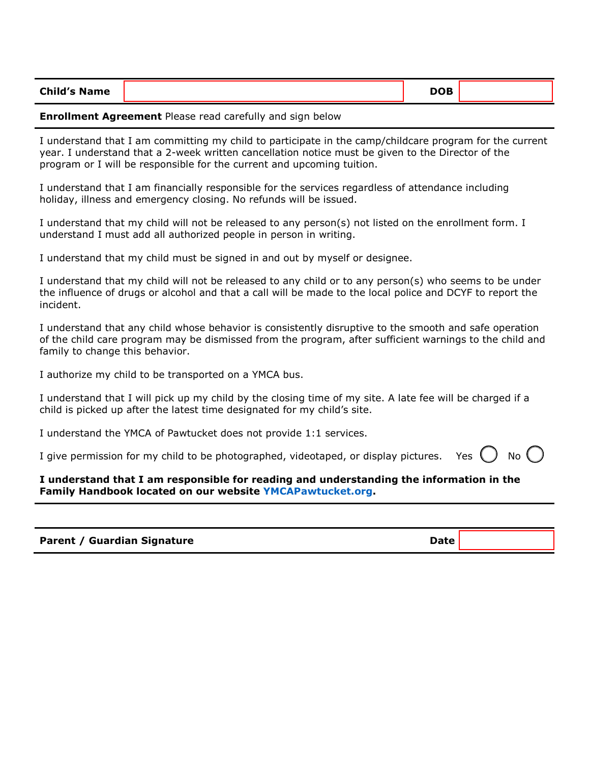| <b>Child's Name</b> | <b>DOB</b> |  |
|---------------------|------------|--|
|---------------------|------------|--|

#### **Enrollment Agreement** Please read carefully and sign below

I understand that I am committing my child to participate in the camp/childcare program for the current year. I understand that a 2-week written cancellation notice must be given to the Director of the program or I will be responsible for the current and upcoming tuition.

I understand that I am financially responsible for the services regardless of attendance including holiday, illness and emergency closing. No refunds will be issued.

I understand that my child will not be released to any person(s) not listed on the enrollment form. I understand I must add all authorized people in person in writing.

I understand that my child must be signed in and out by myself or designee.

I understand that my child will not be released to any child or to any person(s) who seems to be under the influence of drugs or alcohol and that a call will be made to the local police and DCYF to report the incident.

I understand that any child whose behavior is consistently disruptive to the smooth and safe operation of the child care program may be dismissed from the program, after sufficient warnings to the child and family to change this behavior.

I authorize my child to be transported on a YMCA bus.

I understand that I will pick up my child by the closing time of my site. A late fee will be charged if a child is picked up after the latest time designated for my child's site.

I understand the YMCA of Pawtucket does not provide 1:1 services.

I give permission for my child to be photographed, videotaped, or display pictures. Yes  $\bigcup$  No  $\bigcup$ 

**I understand that I am responsible for reading and understanding the information in the Family Handbook located on our website [YMCAPawtucket.org.](file://fs01.ad.ymcapawt.org/Data/SharedData/Childcare_Camp/Forms/In%20Progress/ymcapawtucket.org)**

**Parent / Guardian Signature Date Date Date**